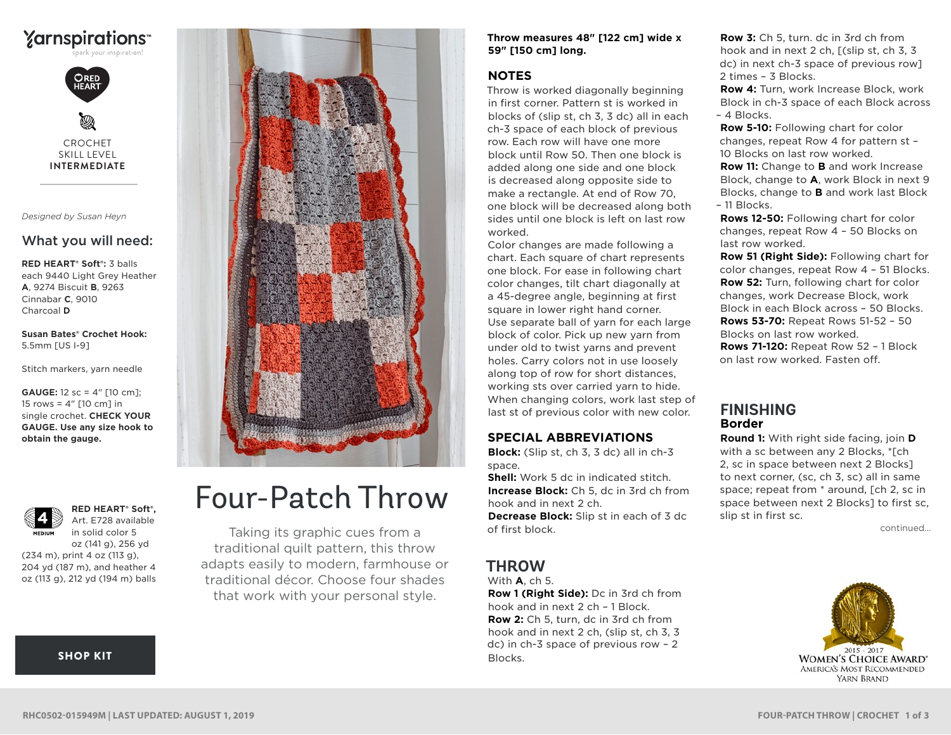

CROCHET SKILL LEVEL **INTERMEDIATE**

*Designed by Susan Heyn*

## What you will need:

**RED HEART® Soft®:** 3 balls each 9440 Light Grey Heather **A**, 9274 Biscuit **B**, 9263 Cinnabar **C**, 9010 Charcoal **D**

**Susan Bates® Crochet Hook:** 5.5mm [US I-9]

Stitch markers, yarn needle

**GAUGE:** 12 sc = 4" [10 cm]; 15 rows =  $4"$  [10 cm] in single crochet. **CHECK YOUR GAUGE. Use any size hook to obtain the gauge.**



#### **RED HEART® Soft®,** Art. E728 available in solid color 5 oz (141 g), 256 yd

(234 m), print 4 oz (113 g), 204 yd (187 m), and heather 4 oz (113 g), 212 yd (194 m) balls

## [SHOP KIT](https://www.yarnspirations.com/red-heart-four-patch-throw/RHC0502-015949M.html#utm_source=pdf-yarnspirations&utm_medium=referral&utm_campaign=pdf-RHC0502-015949M)



# Four-Patch Throw

Taking its graphic cues from a traditional quilt pattern, this throw adapts easily to modern, farmhouse or traditional décor. Choose four shades that work with your personal style.

#### **Throw measures 48" [122 cm] wide x 59" [150 cm] long.**

## **NOTES**

Throw is worked diagonally beginning in first corner. Pattern st is worked in blocks of (slip st, ch 3, 3 dc) all in each ch-3 space of each block of previous row. Each row will have one more block until Row 50. Then one block is added along one side and one block is decreased along opposite side to make a rectangle. At end of Row 70, one block will be decreased along both sides until one block is left on last row worked.

Color changes are made following a chart. Each square of chart represents one block. For ease in following chart color changes, tilt chart diagonally at a 45-degree angle, beginning at first square in lower right hand corner. Use separate ball of yarn for each large block of color. Pick up new yarn from under old to twist yarns and prevent holes. Carry colors not in use loosely along top of row for short distances, working sts over carried yarn to hide. When changing colors, work last step of last st of previous color with new color.

## **SPECIAL ABBREVIATIONS**

**Block:** (Slip st, ch 3, 3 dc) all in ch-3 space.

**Shell:** Work 5 dc in indicated stitch. **Increase Block:** Ch 5, dc in 3rd ch from hook and in next 2 ch. **Decrease Block:** Slip st in each of 3 dc of first block.

## **THROW**

With **A**, ch 5.

**Row 1 (Right Side):** Dc in 3rd ch from hook and in next 2 ch – 1 Block. **Row 2:** Ch 5, turn, dc in 3rd ch from hook and in next 2 ch, (slip st, ch 3, 3 dc) in ch-3 space of previous row – 2 Blocks.

**Row 3:** Ch 5, turn. dc in 3rd ch from hook and in next 2 ch, [(slip st, ch 3, 3 dc) in next ch-3 space of previous row] 2 times – 3 Blocks.

**Row 4:** Turn, work Increase Block, work Block in ch-3 space of each Block across – 4 Blocks.

**Row 5-10:** Following chart for color changes, repeat Row 4 for pattern st – 10 Blocks on last row worked. **Row 11:** Change to **B** and work Increase Block, change to **A**, work Block in next 9

Blocks, change to **B** and work last Block – 11 Blocks.

**Rows 12-50:** Following chart for color changes, repeat Row 4 – 50 Blocks on last row worked.

**Row 51 (Right Side):** Following chart for color changes, repeat Row 4 – 51 Blocks. **Row 52:** Turn, following chart for color changes, work Decrease Block, work Block in each Block across – 50 Blocks. **Rows 53-70:** Repeat Rows 51-52 – 50 Blocks on last row worked. **Rows 71-120:** Repeat Row 52 – 1 Block on last row worked. Fasten off.

## **FINISHING Border**

**Round 1:** With right side facing, join **D** with a sc between any 2 Blocks, \*[ch 2, sc in space between next 2 Blocks] to next corner, (sc, ch 3, sc) all in same space; repeat from \* around, [ch 2, sc in space between next 2 Blocks] to first sc, slip st in first sc.

continued...

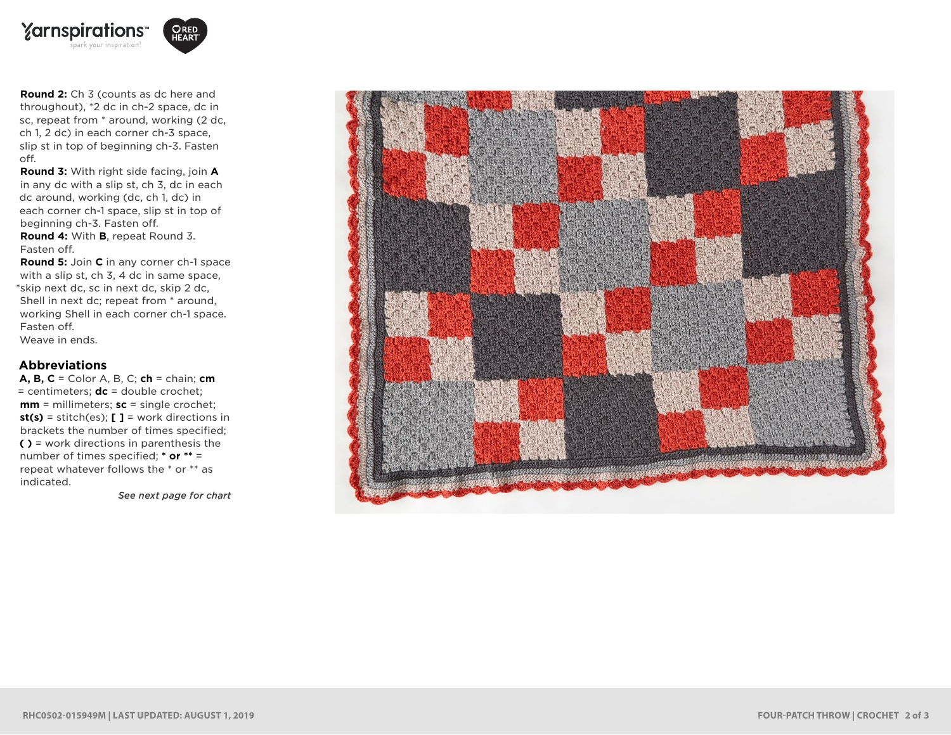

**Round 2:** Ch 3 (counts as dc here and throughout), \*2 dc in ch-2 space, dc in sc, repeat from \* around, working (2 dc, ch 1, 2 dc) in each corner ch-3 space, slip st in top of beginning ch-3. Fasten off.

**Round 3:** With right side facing, join **A** in any dc with a slip st, ch 3, dc in each dc around, working (dc, ch 1, dc) in each corner ch-1 space, slip st in top of beginning ch-3. Fasten off.

**Round 4:** With **B**, repeat Round 3. Fasten off.

**Round 5:** Join **C** in any corner ch-1 space with a slip st, ch 3, 4 dc in same space, \*skip next dc, sc in next dc, skip 2 dc, Shell in next dc; repeat from \* around, working Shell in each corner ch-1 space. Fasten off. Weave in ends.

#### **Abbreviations**

**A, B, C** = Color A, B, C; **ch** = chain; **cm** = centimeters; **dc** = double crochet; **mm** = millimeters; **sc** = single crochet; **st(s)** = stitch(es); **[ ]** = work directions in brackets the number of times specified; **( )** = work directions in parenthesis the number of times specified; **\* or \*\*** = repeat whatever follows the \* or \*\* as indicated.

*See next page for chart*